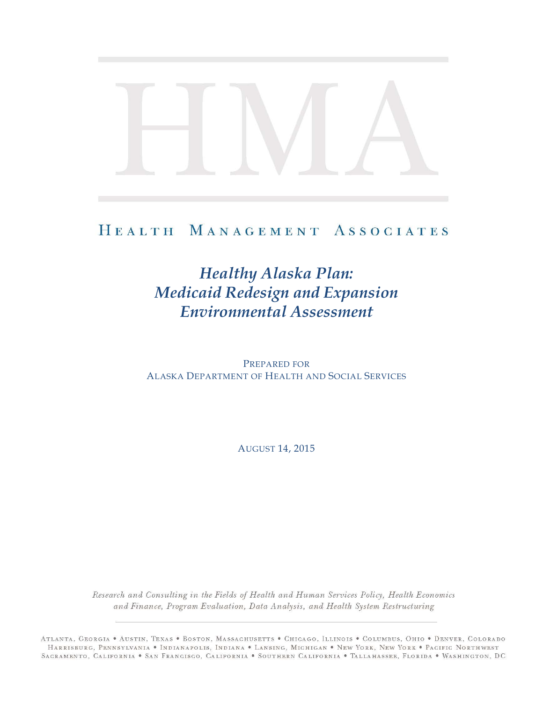# HEALTH MANAGEMENT ASSOCIATES

# *Healthy Alaska Plan: Medicaid Redesign and Expansion Environmental Assessment*

PREPARED FOR ALASKA DEPARTMENT OF HEALTH AND SOCIAL SERVICES

AUGUST 14, 2015

Research and Consulting in the Fields of Health and Human Services Policy, Health Economics and Finance, Program Evaluation, Data Analysis, and Health System Restructuring

ATLANTA, GEORGIA · AUSTIN, TEXAS · BOSTON, MASSACHUSETTS · CHICAGO, ILLINOIS · COLUMBUS, OHIO · DENVER, COLORADO HARRISBURG, PENNSYLVANIA · INDIANAPOLIS, INDIANA · LANSING, MICHIGAN · NEW YORK, NEW YORK · PACIFIC NORTHWEST SAGRAMENTO, CALIFORNIA . SAN FRANCISCO, CALIFORNIA . SOUTHERN CALIFORNIA . TALLAHASSEE, FLORIDA . WASHINGTON, DC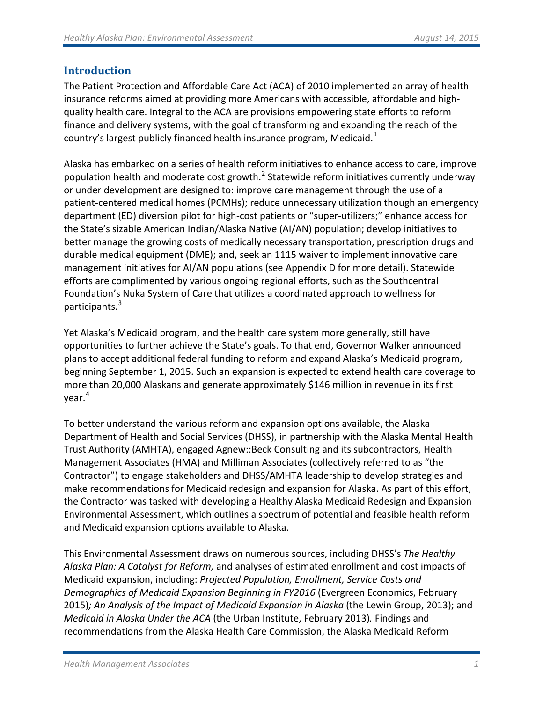# **Introduction**

The Patient Protection and Affordable Care Act (ACA) of 2010 implemented an array of health insurance reforms aimed at providing more Americans with accessible, affordable and highquality health care. Integral to the ACA are provisions empowering state efforts to reform finance and delivery systems, with the goal of transforming and expanding the reach of the country's largest publicly financed health insurance program, Medicaid. $1$ 

Alaska has embarked on a series of health reform initiatives to enhance access to care, improve population health and moderate cost growth.<sup>[2](#page-15-1)</sup> Statewide reform initiatives currently underway or under development are designed to: improve care management through the use of a patient-centered medical homes (PCMHs); reduce unnecessary utilization though an emergency department (ED) diversion pilot for high-cost patients or "super-utilizers;" enhance access for the State's sizable American Indian/Alaska Native (AI/AN) population; develop initiatives to better manage the growing costs of medically necessary transportation, prescription drugs and durable medical equipment (DME); and, seek an 1115 waiver to implement innovative care management initiatives for AI/AN populations (see Appendix D for more detail). Statewide efforts are complimented by various ongoing regional efforts, such as the Southcentral Foundation's Nuka System of Care that utilizes a coordinated approach to wellness for participants.<sup>[3](#page-15-2)</sup>

Yet Alaska's Medicaid program, and the health care system more generally, still have opportunities to further achieve the State's goals. To that end, Governor Walker announced plans to accept additional federal funding to reform and expand Alaska's Medicaid program, beginning September 1, 2015. Such an expansion is expected to extend health care coverage to more than 20,000 Alaskans and generate approximately \$146 million in revenue in its first year. [4](#page-15-3)

To better understand the various reform and expansion options available, the Alaska Department of Health and Social Services (DHSS), in partnership with the Alaska Mental Health Trust Authority (AMHTA), engaged Agnew::Beck Consulting and its subcontractors, Health Management Associates (HMA) and Milliman Associates (collectively referred to as "the Contractor") to engage stakeholders and DHSS/AMHTA leadership to develop strategies and make recommendations for Medicaid redesign and expansion for Alaska. As part of this effort, the Contractor was tasked with developing a Healthy Alaska Medicaid Redesign and Expansion Environmental Assessment, which outlines a spectrum of potential and feasible health reform and Medicaid expansion options available to Alaska.

This Environmental Assessment draws on numerous sources, including DHSS's *The Healthy Alaska Plan: A Catalyst for Reform,* and analyses of estimated enrollment and cost impacts of Medicaid expansion, including: *Projected Population, Enrollment, Service Costs and Demographics of Medicaid Expansion Beginning in FY2016* (Evergreen Economics, February 2015)*; An Analysis of the Impact of Medicaid Expansion in Alaska* (the Lewin Group, 2013); and *Medicaid in Alaska Under the ACA* (the Urban Institute, February 2013)*.* Findings and recommendations from the Alaska Health Care Commission, the Alaska Medicaid Reform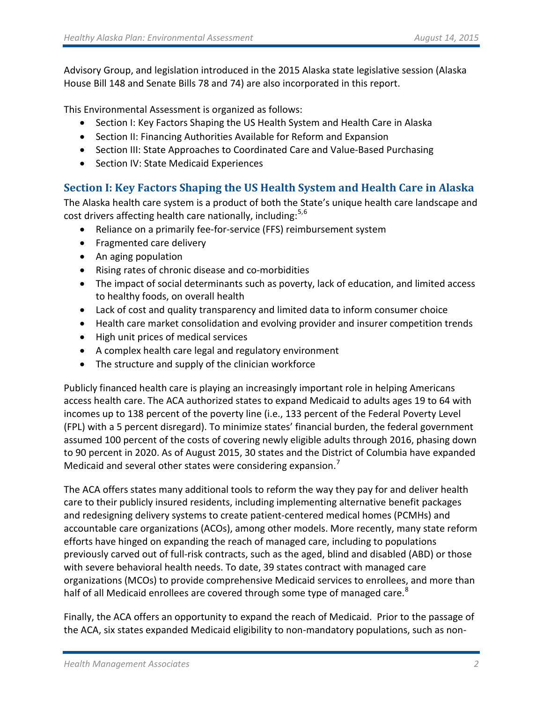Advisory Group, and legislation introduced in the 2015 Alaska state legislative session (Alaska House Bill 148 and Senate Bills 78 and 74) are also incorporated in this report.

This Environmental Assessment is organized as follows:

- Section I: Key Factors Shaping the US Health System and Health Care in Alaska
- Section II: Financing Authorities Available for Reform and Expansion
- Section III: State Approaches to Coordinated Care and Value-Based Purchasing
- Section IV: State Medicaid Experiences

# **Section I: Key Factors Shaping the US Health System and Health Care in Alaska**

The Alaska health care system is a product of both the State's unique health care landscape and cost drivers affecting health care nationally, including:<sup>[5,](#page-16-0)[6](#page-16-1)</sup>

- Reliance on a primarily fee-for-service (FFS) reimbursement system
- Fragmented care delivery
- An aging population
- Rising rates of chronic disease and co-morbidities
- The impact of social determinants such as poverty, lack of education, and limited access to healthy foods, on overall health
- Lack of cost and quality transparency and limited data to inform consumer choice
- Health care market consolidation and evolving provider and insurer competition trends
- High unit prices of medical services
- A complex health care legal and regulatory environment
- The structure and supply of the clinician workforce

Publicly financed health care is playing an increasingly important role in helping Americans access health care. The ACA authorized states to expand Medicaid to adults ages 19 to 64 with incomes up to 138 percent of the poverty line (i.e., 133 percent of the Federal Poverty Level (FPL) with a 5 percent disregard). To minimize states' financial burden, the federal government assumed 100 percent of the costs of covering newly eligible adults through 2016, phasing down to 90 percent in 2020. As of August 2015, 30 states and the District of Columbia have expanded Medicaid and several other states were considering expansion.<sup>[7](#page-16-2)</sup>

The ACA offers states many additional tools to reform the way they pay for and deliver health care to their publicly insured residents, including implementing alternative benefit packages and redesigning delivery systems to create patient-centered medical homes (PCMHs) and accountable care organizations (ACOs), among other models. More recently, many state reform efforts have hinged on expanding the reach of managed care, including to populations previously carved out of full-risk contracts, such as the aged, blind and disabled (ABD) or those with severe behavioral health needs. To date, 39 states contract with managed care organizations (MCOs) to provide comprehensive Medicaid services to enrollees, and more than half of all Medicaid enrollees are covered through some type of managed care.<sup>[8](#page-16-3)</sup>

Finally, the ACA offers an opportunity to expand the reach of Medicaid. Prior to the passage of the ACA, six states expanded Medicaid eligibility to non-mandatory populations, such as non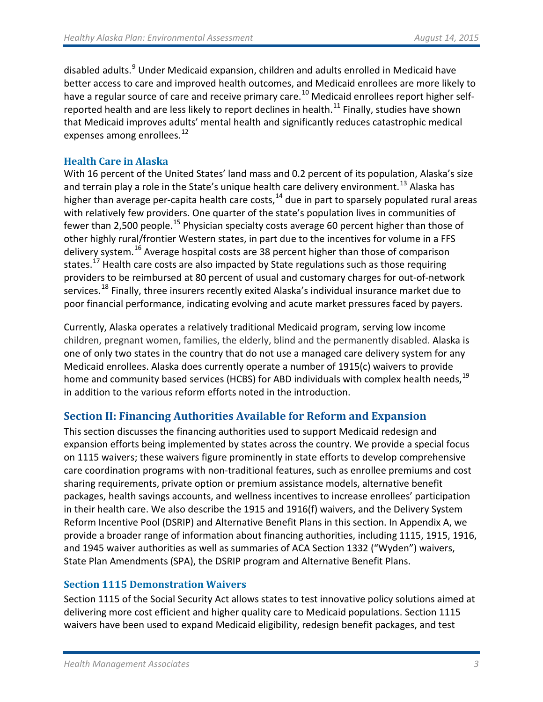disabled adults.<sup>[9](#page-16-4)</sup> Under Medicaid expansion, children and adults enrolled in Medicaid have better access to care and improved health outcomes, and Medicaid enrollees are more likely to have a regular source of care and receive primary care.<sup>[10](#page-16-5)</sup> Medicaid enrollees report higher self-reported health and are less likely to report declines in health.<sup>[11](#page-16-6)</sup> Finally, studies have shown that Medicaid improves adults' mental health and significantly reduces catastrophic medical expenses among enrollees.<sup>[12](#page-16-7)</sup>

# **Health Care in Alaska**

With 16 percent of the United States' land mass and 0.2 percent of its population, Alaska's size and terrain play a role in the State's unique health care delivery environment.<sup>[13](#page-16-8)</sup> Alaska has higher than average per-capita health care costs,  $14$  due in part to sparsely populated rural areas with relatively few providers. One quarter of the state's population lives in communities of fewer than 2,500 people.<sup>[15](#page-16-10)</sup> Physician specialty costs average 60 percent higher than those of other highly rural/frontier Western states, in part due to the incentives for volume in a FFS delivery system.[16](#page-16-11) Average hospital costs are 38 percent higher than those of comparison states.<sup>[17](#page-16-12)</sup> Health care costs are also impacted by State regulations such as those requiring providers to be reimbursed at 80 percent of usual and customary charges for out-of-network services.<sup>[18](#page-16-13)</sup> Finally, three insurers recently exited Alaska's individual insurance market due to poor financial performance, indicating evolving and acute market pressures faced by payers.

Currently, Alaska operates a relatively traditional Medicaid program, serving low income children, pregnant women, families, the elderly, blind and the permanently disabled. Alaska is one of only two states in the country that do not use a managed care delivery system for any Medicaid enrollees. Alaska does currently operate a number of 1915(c) waivers to provide home and community based services (HCBS) for ABD individuals with complex health needs,<sup>[19](#page-16-14)</sup> in addition to the various reform efforts noted in the introduction.

# **Section II: Financing Authorities Available for Reform and Expansion**

This section discusses the financing authorities used to support Medicaid redesign and expansion efforts being implemented by states across the country. We provide a special focus on 1115 waivers; these waivers figure prominently in state efforts to develop comprehensive care coordination programs with non-traditional features, such as enrollee premiums and cost sharing requirements, private option or premium assistance models, alternative benefit packages, health savings accounts, and wellness incentives to increase enrollees' participation in their health care. We also describe the 1915 and 1916(f) waivers, and the Delivery System Reform Incentive Pool (DSRIP) and Alternative Benefit Plans in this section. In Appendix A, we provide a broader range of information about financing authorities, including 1115, 1915, 1916, and 1945 waiver authorities as well as summaries of ACA Section 1332 ("Wyden") waivers, State Plan Amendments (SPA), the DSRIP program and Alternative Benefit Plans.

# **Section 1115 Demonstration Waivers**

Section 1115 of the Social Security Act allows states to test innovative policy solutions aimed at delivering more cost efficient and higher quality care to Medicaid populations. Section 1115 waivers have been used to expand Medicaid eligibility, redesign benefit packages, and test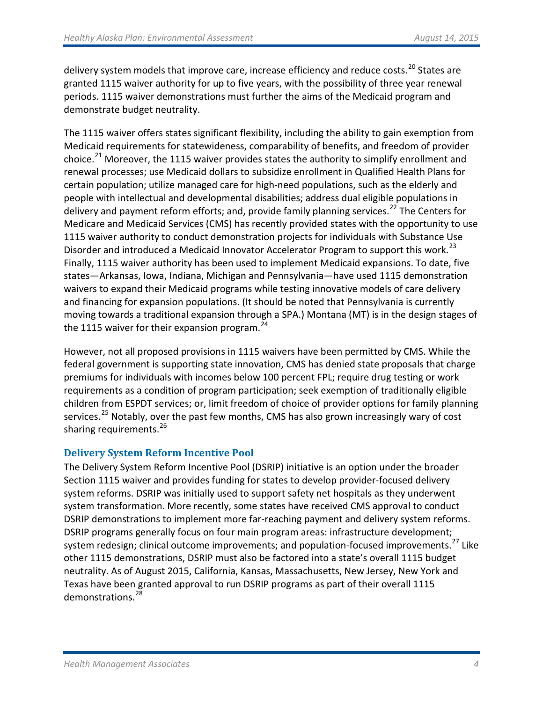delivery system models that improve care, increase efficiency and reduce costs.<sup>[20](#page-16-15)</sup> States are granted 1115 waiver authority for up to five years, with the possibility of three year renewal periods. 1115 waiver demonstrations must further the aims of the Medicaid program and demonstrate budget neutrality.

The 1115 waiver offers states significant flexibility, including the ability to gain exemption from Medicaid requirements for statewideness, comparability of benefits, and freedom of provider choice.<sup>[21](#page-16-16)</sup> Moreover, the 1115 waiver provides states the authority to simplify enrollment and renewal processes; use Medicaid dollars to subsidize enrollment in Qualified Health Plans for certain population; utilize managed care for high-need populations, such as the elderly and people with intellectual and developmental disabilities; address dual eligible populations in delivery and payment reform efforts; and, provide family planning services.<sup>[22](#page-16-17)</sup> The Centers for Medicare and Medicaid Services (CMS) has recently provided states with the opportunity to use 1115 waiver authority to conduct demonstration projects for individuals with Substance Use Disorder and introduced a Medicaid Innovator Accelerator Program to support this work.<sup>[23](#page-16-18)</sup> Finally, 1115 waiver authority has been used to implement Medicaid expansions. To date, five states—Arkansas, Iowa, Indiana, Michigan and Pennsylvania—have used 1115 demonstration waivers to expand their Medicaid programs while testing innovative models of care delivery and financing for expansion populations. (It should be noted that Pennsylvania is currently moving towards a traditional expansion through a SPA.) Montana (MT) is in the design stages of the 1115 waiver for their expansion program. $24$ 

However, not all proposed provisions in 1115 waivers have been permitted by CMS. While the federal government is supporting state innovation, CMS has denied state proposals that charge premiums for individuals with incomes below 100 percent FPL; require drug testing or work requirements as a condition of program participation; seek exemption of traditionally eligible children from ESPDT services; or, limit freedom of choice of provider options for family planning services.<sup>[25](#page-16-20)</sup> Notably, over the past few months, CMS has also grown increasingly wary of cost sharing requirements.<sup>[26](#page-16-21)</sup>

# **Delivery System Reform Incentive Pool**

The Delivery System Reform Incentive Pool (DSRIP) initiative is an option under the broader Section 1115 waiver and provides funding for states to develop provider-focused delivery system reforms. DSRIP was initially used to support safety net hospitals as they underwent system transformation. More recently, some states have received CMS approval to conduct DSRIP demonstrations to implement more far-reaching payment and delivery system reforms. DSRIP programs generally focus on four main program areas: infrastructure development; system redesign; clinical outcome improvements; and population-focused improvements.<sup>[27](#page-16-22)</sup> Like other 1115 demonstrations, DSRIP must also be factored into a state's overall 1115 budget neutrality. As of August 2015, California, Kansas, Massachusetts, New Jersey, New York and Texas have been granted approval to run DSRIP programs as part of their overall 1115 demonstrations.[28](#page-16-23)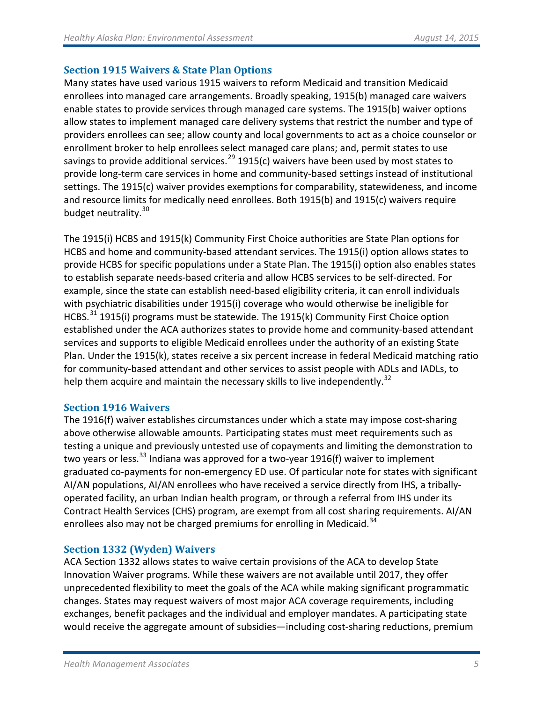# **Section 1915 Waivers & State Plan Options**

Many states have used various 1915 waivers to reform Medicaid and transition Medicaid enrollees into managed care arrangements. Broadly speaking, 1915(b) managed care waivers enable states to provide services through managed care systems. The 1915(b) waiver options allow states to implement managed care delivery systems that restrict the number and type of providers enrollees can see; allow county and local governments to act as a choice counselor or enrollment broker to help enrollees select managed care plans; and, permit states to use savings to provide additional services.<sup>[29](#page-16-24)</sup> 1915(c) waivers have been used by most states to provide long-term care services in home and community-based settings instead of institutional settings. The 1915(c) waiver provides exemptions for comparability, statewideness, and income and resource limits for medically need enrollees. Both 1915(b) and 1915(c) waivers require budget neutrality.<sup>[30](#page-16-25)</sup>

The 1915(i) HCBS and 1915(k) Community First Choice authorities are State Plan options for HCBS and home and community-based attendant services. The 1915(i) option allows states to provide HCBS for specific populations under a State Plan. The 1915(i) option also enables states to establish separate needs-based criteria and allow HCBS services to be self-directed. For example, since the state can establish need-based eligibility criteria, it can enroll individuals with psychiatric disabilities under 1915(i) coverage who would otherwise be ineligible for HCBS.<sup>[31](#page-16-26)</sup> 1915(i) programs must be statewide. The 1915(k) Community First Choice option established under the ACA authorizes states to provide home and community-based attendant services and supports to eligible Medicaid enrollees under the authority of an existing State Plan. Under the 1915(k), states receive a six percent increase in federal Medicaid matching ratio for community-based attendant and other services to assist people with ADLs and IADLs, to help them acquire and maintain the necessary skills to live independently.<sup>[32](#page-16-27)</sup>

# **Section 1916 Waivers**

The 1916(f) waiver establishes circumstances under which a state may impose cost-sharing above otherwise allowable amounts. Participating states must meet requirements such as testing a unique and previously untested use of copayments and limiting the demonstration to two years or less.<sup>[33](#page-16-28)</sup> Indiana was approved for a two-year 1916(f) waiver to implement graduated co-payments for non-emergency ED use. Of particular note for states with significant AI/AN populations, AI/AN enrollees who have received a service directly from IHS, a triballyoperated facility, an urban Indian health program, or through a referral from IHS under its Contract Health Services (CHS) program, are exempt from all cost sharing requirements. AI/AN enrollees also may not be charged premiums for enrolling in Medicaid.<sup>[34](#page-16-29)</sup>

# **Section 1332 (Wyden) Waivers**

ACA Section 1332 allows states to waive certain provisions of the ACA to develop State Innovation Waiver programs. While these waivers are not available until 2017, they offer unprecedented flexibility to meet the goals of the ACA while making significant programmatic changes. States may request waivers of most major ACA coverage requirements, including exchanges, benefit packages and the individual and employer mandates. A participating state would receive the aggregate amount of subsidies—including cost-sharing reductions, premium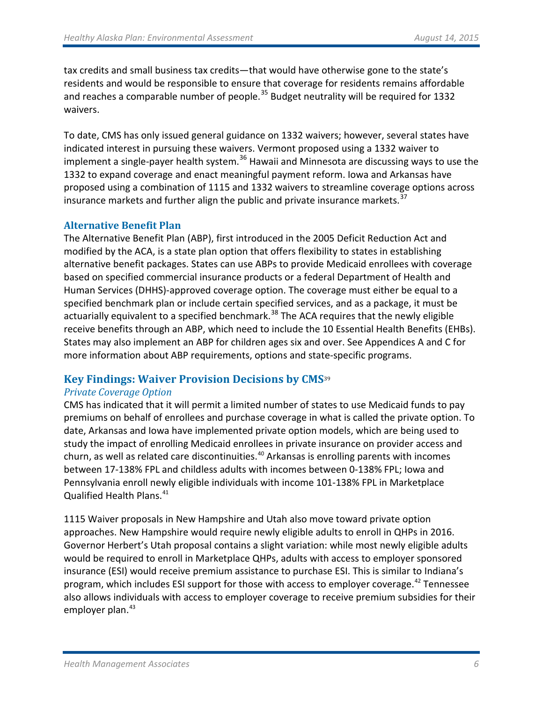tax credits and small business tax credits—that would have otherwise gone to the state's residents and would be responsible to ensure that coverage for residents remains affordable and reaches a comparable number of people. $35$  Budget neutrality will be required for 1332 waivers.

To date, CMS has only issued general guidance on 1332 waivers; however, several states have indicated interest in pursuing these waivers. Vermont proposed using a 1332 waiver to implement a single-payer health system.<sup>[36](#page-16-31)</sup> Hawaii and Minnesota are discussing ways to use the 1332 to expand coverage and enact meaningful payment reform. Iowa and Arkansas have proposed using a combination of 1115 and 1332 waivers to streamline coverage options across insurance markets and further align the public and private insurance markets.<sup>[37](#page-16-32)</sup>

### **Alternative Benefit Plan**

The Alternative Benefit Plan (ABP), first introduced in the 2005 Deficit Reduction Act and modified by the ACA, is a state plan option that offers flexibility to states in establishing alternative benefit packages. States can use ABPs to provide Medicaid enrollees with coverage based on specified commercial insurance products or a federal Department of Health and Human Services (DHHS)-approved coverage option. The coverage must either be equal to a specified benchmark plan or include certain specified services, and as a package, it must be actuarially equivalent to a specified benchmark.<sup>[38](#page-16-33)</sup> The ACA requires that the newly eligible receive benefits through an ABP, which need to include the 10 Essential Health Benefits (EHBs). States may also implement an ABP for children ages six and over. See Appendices A and C for more information about ABP requirements, options and state-specific programs.

# **Key Findings: Waiver Provision Decisions by CMS**[39](#page-16-34)

#### *Private Coverage Option*

CMS has indicated that it will permit a limited number of states to use Medicaid funds to pay premiums on behalf of enrollees and purchase coverage in what is called the private option. To date, Arkansas and Iowa have implemented private option models, which are being used to study the impact of enrolling Medicaid enrollees in private insurance on provider access and churn, as well as related care discontinuities.<sup>[40](#page-16-35)</sup> Arkansas is enrolling parents with incomes between 17-138% FPL and childless adults with incomes between 0-138% FPL; Iowa and Pennsylvania enroll newly eligible individuals with income 101-138% FPL in Marketplace Qualified Health Plans. [41](#page-16-36)

1115 Waiver proposals in New Hampshire and Utah also move toward private option approaches. New Hampshire would require newly eligible adults to enroll in QHPs in 2016. Governor Herbert's Utah proposal contains a slight variation: while most newly eligible adults would be required to enroll in Marketplace QHPs, adults with access to employer sponsored insurance (ESI) would receive premium assistance to purchase ESI. This is similar to Indiana's program, which includes ESI support for those with access to employer coverage.<sup>[42](#page-16-37)</sup> Tennessee also allows individuals with access to employer coverage to receive premium subsidies for their employer plan. $43$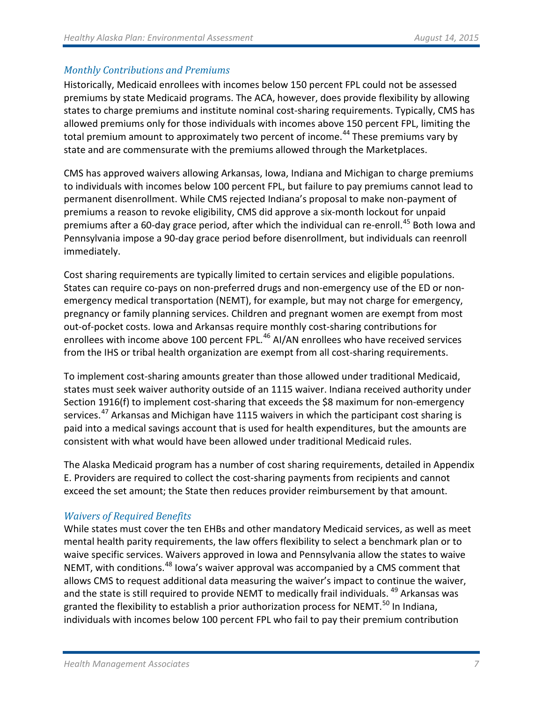# *Monthly Contributions and Premiums*

Historically, Medicaid enrollees with incomes below 150 percent FPL could not be assessed premiums by state Medicaid programs. The ACA, however, does provide flexibility by allowing states to charge premiums and institute nominal cost-sharing requirements. Typically, CMS has allowed premiums only for those individuals with incomes above 150 percent FPL, limiting the total premium amount to approximately two percent of income.<sup>[44](#page-16-39)</sup> These premiums vary by state and are commensurate with the premiums allowed through the Marketplaces.

CMS has approved waivers allowing Arkansas, Iowa, Indiana and Michigan to charge premiums to individuals with incomes below 100 percent FPL, but failure to pay premiums cannot lead to permanent disenrollment. While CMS rejected Indiana's proposal to make non-payment of premiums a reason to revoke eligibility, CMS did approve a six-month lockout for unpaid premiums after a 60-day grace period, after which the individual can re-enroll.<sup>[45](#page-16-40)</sup> Both Iowa and Pennsylvania impose a 90-day grace period before disenrollment, but individuals can reenroll immediately.

Cost sharing requirements are typically limited to certain services and eligible populations. States can require co-pays on non-preferred drugs and non-emergency use of the ED or nonemergency medical transportation (NEMT), for example, but may not charge for emergency, pregnancy or family planning services. Children and pregnant women are exempt from most out-of-pocket costs. Iowa and Arkansas require monthly cost-sharing contributions for enrollees with income above 100 percent FPL.<sup>[46](#page-16-41)</sup> AI/AN enrollees who have received services from the IHS or tribal health organization are exempt from all cost-sharing requirements.

To implement cost-sharing amounts greater than those allowed under traditional Medicaid, states must seek waiver authority outside of an 1115 waiver. Indiana received authority under Section 1916(f) to implement cost-sharing that exceeds the \$8 maximum for non-emergency services.<sup>[47](#page-16-42)</sup> Arkansas and Michigan have 1115 waivers in which the participant cost sharing is paid into a medical savings account that is used for health expenditures, but the amounts are consistent with what would have been allowed under traditional Medicaid rules.

The Alaska Medicaid program has a number of cost sharing requirements, detailed in Appendix E. Providers are required to collect the cost-sharing payments from recipients and cannot exceed the set amount; the State then reduces provider reimbursement by that amount.

# *Waivers of Required Benefits*

While states must cover the ten EHBs and other mandatory Medicaid services, as well as meet mental health parity requirements, the law offers flexibility to select a benchmark plan or to waive specific services. Waivers approved in Iowa and Pennsylvania allow the states to waive NEMT, with conditions.<sup>[48](#page-16-43)</sup> Iowa's waiver approval was accompanied by a CMS comment that allows CMS to request additional data measuring the waiver's impact to continue the waiver, and the state is still required to provide NEMT to medically frail individuals. <sup>[49](#page-16-44)</sup> Arkansas was granted the flexibility to establish a prior authorization process for NEMT.<sup>[50](#page-16-45)</sup> In Indiana, individuals with incomes below 100 percent FPL who fail to pay their premium contribution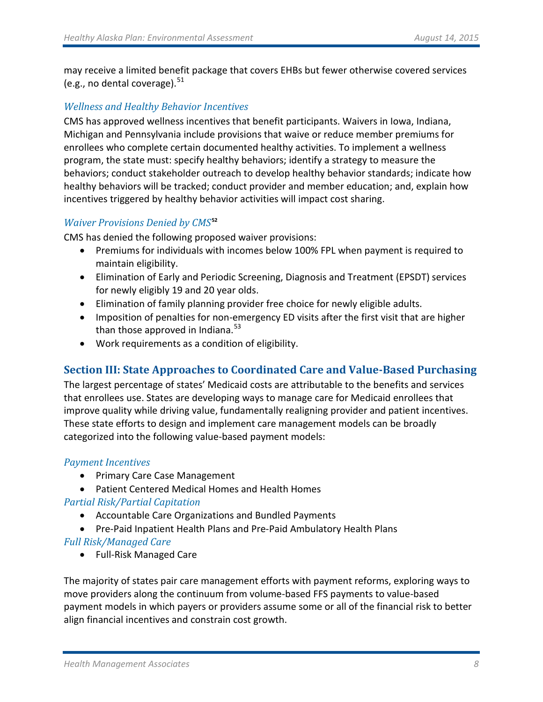may receive a limited benefit package that covers EHBs but fewer otherwise covered services (e.g., no dental coverage). $51$ 

# *Wellness and Healthy Behavior Incentives*

CMS has approved wellness incentives that benefit participants. Waivers in Iowa, Indiana, Michigan and Pennsylvania include provisions that waive or reduce member premiums for enrollees who complete certain documented healthy activities. To implement a wellness program, the state must: specify healthy behaviors; identify a strategy to measure the behaviors; conduct stakeholder outreach to develop healthy behavior standards; indicate how healthy behaviors will be tracked; conduct provider and member education; and, explain how incentives triggered by healthy behavior activities will impact cost sharing.

# *Waiver Provisions Denied by CMS***[52](#page-16-47)**

CMS has denied the following proposed waiver provisions:

- Premiums for individuals with incomes below 100% FPL when payment is required to maintain eligibility.
- Elimination of Early and Periodic Screening, Diagnosis and Treatment (EPSDT) services for newly eligibly 19 and 20 year olds.
- Elimination of family planning provider free choice for newly eligible adults.
- Imposition of penalties for non-emergency ED visits after the first visit that are higher than those approved in Indiana. $53$
- Work requirements as a condition of eligibility.

# **Section III: State Approaches to Coordinated Care and Value-Based Purchasing**

The largest percentage of states' Medicaid costs are attributable to the benefits and services that enrollees use. States are developing ways to manage care for Medicaid enrollees that improve quality while driving value, fundamentally realigning provider and patient incentives. These state efforts to design and implement care management models can be broadly categorized into the following value-based payment models:

# *Payment Incentives*

- Primary Care Case Management
- Patient Centered Medical Homes and Health Homes

# *Partial Risk/Partial Capitation*

- Accountable Care Organizations and Bundled Payments
- Pre-Paid Inpatient Health Plans and Pre-Paid Ambulatory Health Plans

# *Full Risk/Managed Care*

• Full-Risk Managed Care

The majority of states pair care management efforts with payment reforms, exploring ways to move providers along the continuum from volume-based FFS payments to value-based payment models in which payers or providers assume some or all of the financial risk to better align financial incentives and constrain cost growth.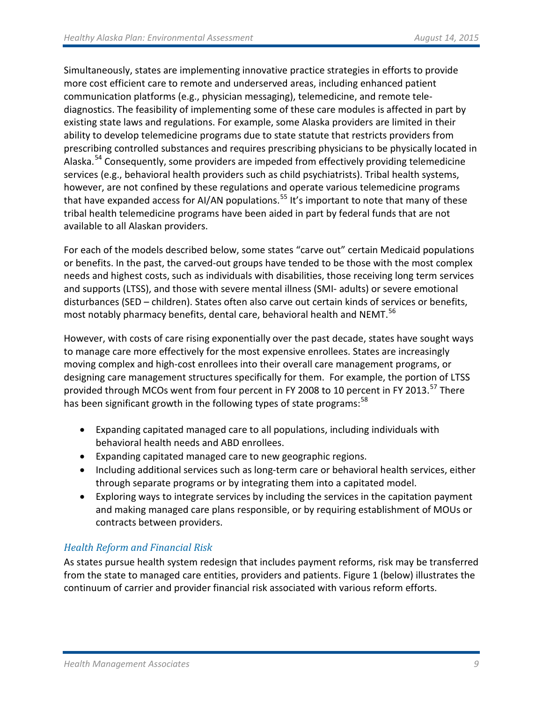Simultaneously, states are implementing innovative practice strategies in efforts to provide more cost efficient care to remote and underserved areas, including enhanced patient communication platforms (e.g., physician messaging), telemedicine, and remote telediagnostics. The feasibility of implementing some of these care modules is affected in part by existing state laws and regulations. For example, some Alaska providers are limited in their ability to develop telemedicine programs due to state statute that restricts providers from prescribing controlled substances and requires prescribing physicians to be physically located in Alaska.<sup>[54](#page-16-49)</sup> Consequently, some providers are impeded from effectively providing telemedicine services (e.g., behavioral health providers such as child psychiatrists). Tribal health systems, however, are not confined by these regulations and operate various telemedicine programs that have expanded access for AI/AN populations.<sup>[55](#page-16-50)</sup> It's important to note that many of these tribal health telemedicine programs have been aided in part by federal funds that are not available to all Alaskan providers.

For each of the models described below, some states "carve out" certain Medicaid populations or benefits. In the past, the carved-out groups have tended to be those with the most complex needs and highest costs, such as individuals with disabilities, those receiving long term services and supports (LTSS), and those with severe mental illness (SMI- adults) or severe emotional disturbances (SED – children). States often also carve out certain kinds of services or benefits, most notably pharmacy benefits, dental care, behavioral health and NEMT.<sup>[56](#page-16-51)</sup>

However, with costs of care rising exponentially over the past decade, states have sought ways to manage care more effectively for the most expensive enrollees. States are increasingly moving complex and high-cost enrollees into their overall care management programs, or designing care management structures specifically for them. For example, the portion of LTSS provided through MCOs went from four percent in FY 2008 to 10 percent in FY 2013.<sup>[57](#page-16-52)</sup> There has been significant growth in the following types of state programs:<sup>[58](#page-16-53)</sup>

- Expanding capitated managed care to all populations, including individuals with behavioral health needs and ABD enrollees.
- Expanding capitated managed care to new geographic regions.
- Including additional services such as long-term care or behavioral health services, either through separate programs or by integrating them into a capitated model.
- Exploring ways to integrate services by including the services in the capitation payment and making managed care plans responsible, or by requiring establishment of MOUs or contracts between providers.

# *Health Reform and Financial Risk*

As states pursue health system redesign that includes payment reforms, risk may be transferred from the state to managed care entities, providers and patients. Figure 1 (below) illustrates the continuum of carrier and provider financial risk associated with various reform efforts.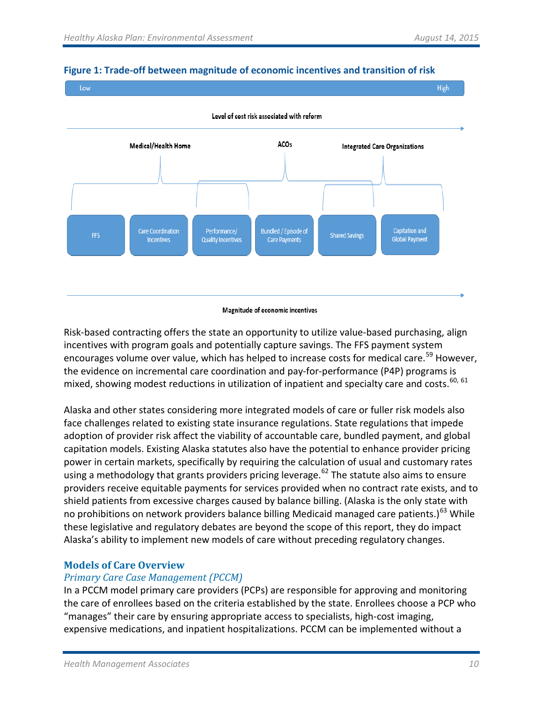

### **Figure 1: Trade-off between magnitude of economic incentives and transition of risk**

#### Magnitude of economic incentives

Risk-based contracting offers the state an opportunity to utilize value-based purchasing, align incentives with program goals and potentially capture savings. The FFS payment system encourages volume over value, which has helped to increase costs for medical care.<sup>[59](#page-16-54)</sup> However, the evidence on incremental care coordination and pay-for-performance (P4P) programs is mixed, showing modest reductions in utilization of inpatient and specialty care and costs.<sup>[60](#page-16-55), [61](#page-16-56)</sup>

Alaska and other states considering more integrated models of care or fuller risk models also face challenges related to existing state insurance regulations. State regulations that impede adoption of provider risk affect the viability of accountable care, bundled payment, and global capitation models. Existing Alaska statutes also have the potential to enhance provider pricing power in certain markets, specifically by requiring the calculation of usual and customary rates using a methodology that grants providers pricing leverage.<sup>[62](#page-16-57)</sup> The statute also aims to ensure providers receive equitable payments for services provided when no contract rate exists, and to shield patients from excessive charges caused by balance billing. (Alaska is the only state with no prohibitions on network providers balance billing Medicaid managed care patients.)<sup>[63](#page-16-58)</sup> While these legislative and regulatory debates are beyond the scope of this report, they do impact Alaska's ability to implement new models of care without preceding regulatory changes.

# **Models of Care Overview**

# *Primary Care Case Management (PCCM)*

In a PCCM model primary care providers (PCPs) are responsible for approving and monitoring the care of enrollees based on the criteria established by the state. Enrollees choose a PCP who "manages" their care by ensuring appropriate access to specialists, high-cost imaging, expensive medications, and inpatient hospitalizations. PCCM can be implemented without a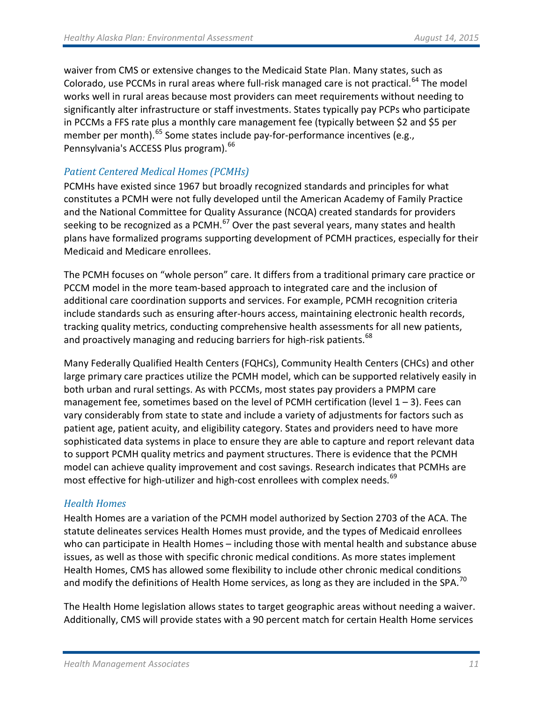waiver from CMS or extensive changes to the Medicaid State Plan. Many states, such as Colorado, use PCCMs in rural areas where full-risk managed care is not practical.<sup>[64](#page-16-59)</sup> The model works well in rural areas because most providers can meet requirements without needing to significantly alter infrastructure or staff investments. States typically pay PCPs who participate in PCCMs a FFS rate plus a monthly care management fee (typically between \$2 and \$5 per member per month).<sup>[65](#page-16-60)</sup> Some states include pay-for-performance incentives (e.g., Pennsylvania's ACCESS Plus program). <sup>[66](#page-16-61)</sup>

# *Patient Centered Medical Homes (PCMHs)*

PCMHs have existed since 1967 but broadly recognized standards and principles for what constitutes a PCMH were not fully developed until the American Academy of Family Practice and the National Committee for Quality Assurance (NCQA) created standards for providers seeking to be recognized as a PCMH. $^{67}$  $^{67}$  $^{67}$  Over the past several years, many states and health plans have formalized programs supporting development of PCMH practices, especially for their Medicaid and Medicare enrollees.

The PCMH focuses on "whole person" care. It differs from a traditional primary care practice or PCCM model in the more team-based approach to integrated care and the inclusion of additional care coordination supports and services. For example, PCMH recognition criteria include standards such as ensuring after-hours access, maintaining electronic health records, tracking quality metrics, conducting comprehensive health assessments for all new patients, and proactively managing and reducing barriers for high-risk patients.<sup>[68](#page-16-63)</sup>

Many Federally Qualified Health Centers (FQHCs), Community Health Centers (CHCs) and other large primary care practices utilize the PCMH model, which can be supported relatively easily in both urban and rural settings. As with PCCMs, most states pay providers a PMPM care management fee, sometimes based on the level of PCMH certification (level  $1 - 3$ ). Fees can vary considerably from state to state and include a variety of adjustments for factors such as patient age, patient acuity, and eligibility category. States and providers need to have more sophisticated data systems in place to ensure they are able to capture and report relevant data to support PCMH quality metrics and payment structures. There is evidence that the PCMH model can achieve quality improvement and cost savings. Research indicates that PCMHs are most effective for high-utilizer and high-cost enrollees with complex needs.<sup>[69](#page-16-1)</sup>

# *Health Homes*

Health Homes are a variation of the PCMH model authorized by Section 2703 of the ACA. The statute delineates services Health Homes must provide, and the types of Medicaid enrollees who can participate in Health Homes – including those with mental health and substance abuse issues, as well as those with specific chronic medical conditions. As more states implement Health Homes, CMS has allowed some flexibility to include other chronic medical conditions and modify the definitions of Health Home services, as long as they are included in the SPA.<sup>[70](#page-16-2)</sup>

The Health Home legislation allows states to target geographic areas without needing a waiver. Additionally, CMS will provide states with a 90 percent match for certain Health Home services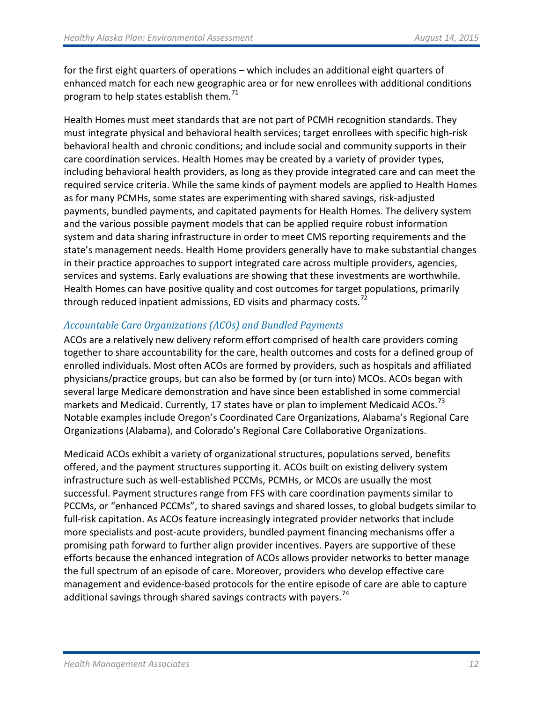for the first eight quarters of operations – which includes an additional eight quarters of enhanced match for each new geographic area or for new enrollees with additional conditions program to help states establish them. $71$ 

Health Homes must meet standards that are not part of PCMH recognition standards. They must integrate physical and behavioral health services; target enrollees with specific high-risk behavioral health and chronic conditions; and include social and community supports in their care coordination services. Health Homes may be created by a variety of provider types, including behavioral health providers, as long as they provide integrated care and can meet the required service criteria. While the same kinds of payment models are applied to Health Homes as for many PCMHs, some states are experimenting with shared savings, risk-adjusted payments, bundled payments, and capitated payments for Health Homes. The delivery system and the various possible payment models that can be applied require robust information system and data sharing infrastructure in order to meet CMS reporting requirements and the state's management needs. Health Home providers generally have to make substantial changes in their practice approaches to support integrated care across multiple providers, agencies, services and systems. Early evaluations are showing that these investments are worthwhile. Health Homes can have positive quality and cost outcomes for target populations, primarily through reduced inpatient admissions, ED visits and pharmacy costs.<sup>[72](#page-16-4)</sup>

# *Accountable Care Organizations (ACOs) and Bundled Payments*

ACOs are a relatively new delivery reform effort comprised of health care providers coming together to share accountability for the care, health outcomes and costs for a defined group of enrolled individuals. Most often ACOs are formed by providers, such as hospitals and affiliated physicians/practice groups, but can also be formed by (or turn into) MCOs. ACOs began with several large Medicare demonstration and have since been established in some commercial markets and Medicaid. Currently, 17 states have or plan to implement Medicaid ACOs.<sup>[73](#page-16-64)</sup> Notable examples include Oregon's Coordinated Care Organizations, Alabama's Regional Care Organizations (Alabama), and Colorado's Regional Care Collaborative Organizations.

Medicaid ACOs exhibit a variety of organizational structures, populations served, benefits offered, and the payment structures supporting it. ACOs built on existing delivery system infrastructure such as well-established PCCMs, PCMHs, or MCOs are usually the most successful. Payment structures range from FFS with care coordination payments similar to PCCMs, or "enhanced PCCMs", to shared savings and shared losses, to global budgets similar to full-risk capitation. As ACOs feature increasingly integrated provider networks that include more specialists and post-acute providers, bundled payment financing mechanisms offer a promising path forward to further align provider incentives. Payers are supportive of these efforts because the enhanced integration of ACOs allows provider networks to better manage the full spectrum of an episode of care. Moreover, providers who develop effective care management and evidence-based protocols for the entire episode of care are able to capture additional savings through shared savings contracts with payers.<sup>[74](#page-16-7)</sup>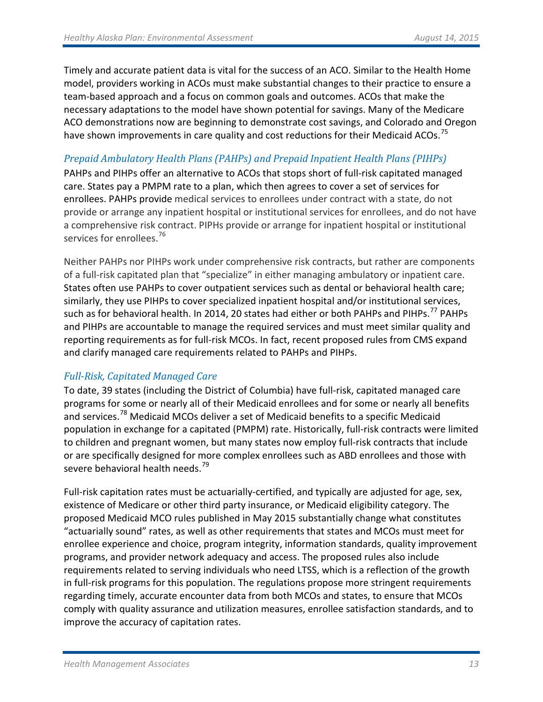Timely and accurate patient data is vital for the success of an ACO. Similar to the Health Home model, providers working in ACOs must make substantial changes to their practice to ensure a team-based approach and a focus on common goals and outcomes. ACOs that make the necessary adaptations to the model have shown potential for savings. Many of the Medicare ACO demonstrations now are beginning to demonstrate cost savings, and Colorado and Oregon have shown improvements in care quality and cost reductions for their Medicaid ACOs.<sup>[75](#page-16-8)</sup>

# *Prepaid Ambulatory Health Plans (PAHPs) and Prepaid Inpatient Health Plans (PIHPs)*

PAHPs and PIHPs offer an alternative to ACOs that stops short of full-risk capitated managed care. States pay a PMPM rate to a plan, which then agrees to cover a set of services for enrollees. PAHPs provide medical services to enrollees under contract with a state, do not provide or arrange any inpatient hospital or institutional services for enrollees, and do not have a comprehensive risk contract. PIPHs provide or arrange for inpatient hospital or institutional services for enrollees.<sup>76</sup>

Neither PAHPs nor PIHPs work under comprehensive risk contracts, but rather are components of a full-risk capitated plan that "specialize" in either managing ambulatory or inpatient care. States often use PAHPs to cover outpatient services such as dental or behavioral health care; similarly, they use PIHPs to cover specialized inpatient hospital and/or institutional services, such as for behavioral health. In 2014, 20 states had either or both PAHPs and PIHPs.<sup>[77](#page-16-65)</sup> PAHPs and PIHPs are accountable to manage the required services and must meet similar quality and reporting requirements as for full-risk MCOs. In fact, recent proposed rules from CMS expand and clarify managed care requirements related to PAHPs and PIHPs.

# *Full-Risk, Capitated Managed Care*

To date, 39 states (including the District of Columbia) have full-risk, capitated managed care programs for some or nearly all of their Medicaid enrollees and for some or nearly all benefits and services.<sup>[78](#page-16-66)</sup> Medicaid MCOs deliver a set of Medicaid benefits to a specific Medicaid population in exchange for a capitated (PMPM) rate. Historically, full-risk contracts were limited to children and pregnant women, but many states now employ full-risk contracts that include or are specifically designed for more complex enrollees such as ABD enrollees and those with severe behavioral health needs.<sup>[79](#page-16-14)</sup>

Full-risk capitation rates must be actuarially-certified, and typically are adjusted for age, sex, existence of Medicare or other third party insurance, or Medicaid eligibility category. The proposed Medicaid MCO rules published in May 2015 substantially change what constitutes "actuarially sound" rates, as well as other requirements that states and MCOs must meet for enrollee experience and choice, program integrity, information standards, quality improvement programs, and provider network adequacy and access. The proposed rules also include requirements related to serving individuals who need LTSS, which is a reflection of the growth in full-risk programs for this population. The regulations propose more stringent requirements regarding timely, accurate encounter data from both MCOs and states, to ensure that MCOs comply with quality assurance and utilization measures, enrollee satisfaction standards, and to improve the accuracy of capitation rates.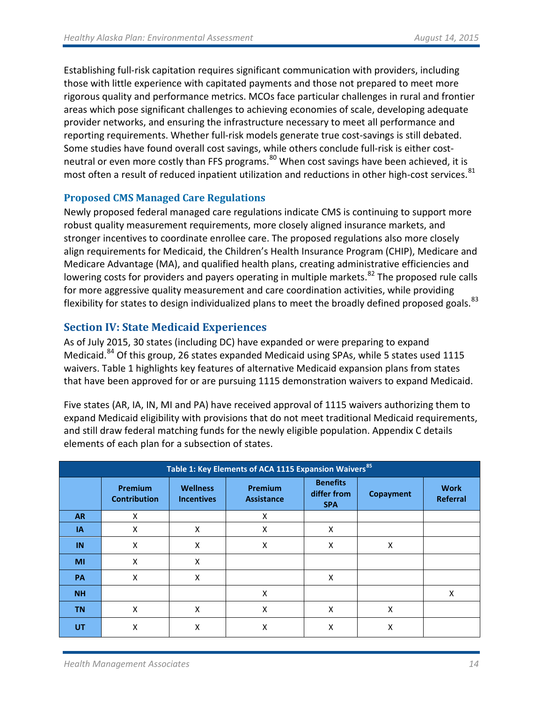Establishing full-risk capitation requires significant communication with providers, including those with little experience with capitated payments and those not prepared to meet more rigorous quality and performance metrics. MCOs face particular challenges in rural and frontier areas which pose significant challenges to achieving economies of scale, developing adequate provider networks, and ensuring the infrastructure necessary to meet all performance and reporting requirements. Whether full-risk models generate true cost-savings is still debated. Some studies have found overall cost savings, while others conclude full-risk is either cost-neutral or even more costly than FFS programs.<sup>[80](#page-16-15)</sup> When cost savings have been achieved, it is most often a result of reduced inpatient utilization and reductions in other high-cost services.<sup>[81](#page-16-16)</sup>

# **Proposed CMS Managed Care Regulations**

Newly proposed federal managed care regulations indicate CMS is continuing to support more robust quality measurement requirements, more closely aligned insurance markets, and stronger incentives to coordinate enrollee care. The proposed regulations also more closely align requirements for Medicaid, the Children's Health Insurance Program (CHIP), Medicare and Medicare Advantage (MA), and qualified health plans, creating administrative efficiencies and lowering costs for providers and payers operating in multiple markets.<sup>[82](#page-16-67)</sup> The proposed rule calls for more aggressive quality measurement and care coordination activities, while providing flexibility for states to design individualized plans to meet the broadly defined proposed goals.<sup>[83](#page-16-68)</sup>

# **Section IV: State Medicaid Experiences**

As of July 2015, 30 states (including DC) have expanded or were preparing to expand Medicaid.<sup>[84](#page-16-19)</sup> Of this group, 26 states expanded Medicaid using SPAs, while 5 states used 1115 waivers. Table 1 highlights key features of alternative Medicaid expansion plans from states that have been approved for or are pursuing 1115 demonstration waivers to expand Medicaid.

Five states (AR, IA, IN, MI and PA) have received approval of 1115 waivers authorizing them to expand Medicaid eligibility with provisions that do not meet traditional Medicaid requirements, and still draw federal matching funds for the newly eligible population. Appendix C details elements of each plan for a subsection of states.

| Table 1: Key Elements of ACA 1115 Expansion Waivers <sup>85</sup> |                                       |                                      |                                     |                                              |                  |                         |
|-------------------------------------------------------------------|---------------------------------------|--------------------------------------|-------------------------------------|----------------------------------------------|------------------|-------------------------|
|                                                                   | <b>Premium</b><br><b>Contribution</b> | <b>Wellness</b><br><b>Incentives</b> | <b>Premium</b><br><b>Assistance</b> | <b>Benefits</b><br>differ from<br><b>SPA</b> | <b>Copayment</b> | <b>Work</b><br>Referral |
| <b>AR</b>                                                         | X                                     |                                      | X                                   |                                              |                  |                         |
| IA                                                                | X                                     | X                                    | X                                   | X                                            |                  |                         |
| IN                                                                | X                                     | X                                    | X                                   | X                                            | X                |                         |
| MI                                                                | X                                     | X                                    |                                     |                                              |                  |                         |
| PA                                                                | X                                     | X                                    |                                     | X                                            |                  |                         |
| <b>NH</b>                                                         |                                       |                                      | Χ                                   |                                              |                  | X                       |
| <b>TN</b>                                                         | X                                     | X                                    | X                                   | X                                            | X                |                         |
| UT                                                                | Χ                                     | X                                    | X                                   | Χ                                            | Χ                |                         |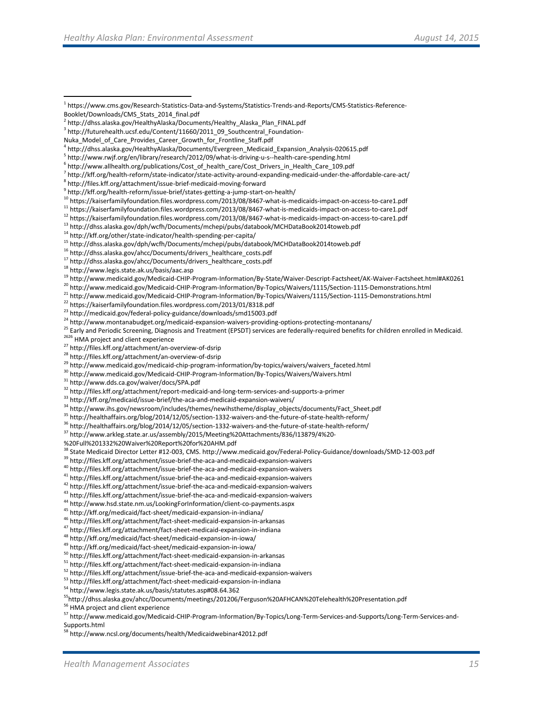- <sup>21</sup> http://www.medicaid.gov/Medicaid-CHIP-Program-Information/By-Topics/Waivers/1115/Section-1115-Demonstrations.html<br><sup>22</sup> https://kaiserfamilyfoundation.files.wordpress.com/2013/01/8318.pdf<br><sup>23</sup> http://medicaid.gov/feder
- 
- 
- 
- <sup>24</sup> http://www.montanabudget.org/medicaid-expansion-waivers-providing-options-protecting-montanans/<br><sup>25</sup> Early and Periodic Screening, Diagnosis and Treatment (EPSDT) services are federally-required benefits for children

- 
- <sup>27</sup> http://files.kff.org/attachment/an-overview-of-dsrip<br><sup>28</sup> http://files.kff.org/attachment/an-overview-of-dsrip
- <sup>29</sup> http://www.medicaid.gov/medicaid-chip-program-information/by-topics/waivers/waivers\_faceted.html <sup>30</sup><br><sup>30</sup> http://www.medicaid.gov/Medicaid-CHIP-Program-Information/By-Topics/Waivers/Waivers.html<br><sup>31</sup> http://www.dds.
- 
- 
- $32$  http://files.kff.org/attachment/report-medicaid-and-long-term-services-and-supports-a-primer  $33$  http://kff.org/medicaid/issue-brief/the-aca-and-medicaid-expansion-waivers/
- 
- 
- <sup>34</sup> http://www.ihs.gov/newsroom/includes/themes/newihstheme/display\_objects/documents/Fact\_Sheet.pdf <sup>35</sup> http://healthaffairs.org/blog/2014/12/05/section-1332-waivers-and-the-future-of-state-health-reform/<br><sup>36</sup> http://h
- 

<sup>37</sup> http://www.arkleg.state.ar.us/assembly/2015/Meeting%20Attachments/836/I13879/4%20-

<sup>42</sup> http://files.kff.org/attachment/issue-brief-the-aca-and-medicaid-expansion-waivers <sup>43</sup> http://files.kff.org/attachment/issue-brief-the-aca-and-medicaid-expansion-waivers

<sup>44</sup> http://www.hsd.state.nm.us/LookingForInformation/client-co-payments.aspx<br><sup>45</sup> http://kff.org/medicaid/fact-sheet/medicaid-expansion-in-indiana/

<sup>46</sup> http://files.kff.org/attachment/fact-sheet-medicaid-expansion-in-arkansas <sup>47</sup> http://files.kff.org/attachment/fact-sheet-medicaid-expansion-in-indiana<br><sup>48</sup> http://kff.org/medicaid/fact-sheet/medicaid-expansion-in-io

<sup>49</sup> http://kff.org/medicaid/fact-sheet/medicaid-expansion-in-iowa/<br><sup>50</sup> http://files.kff.org/attachment/fact-sheet-medicaid-expansion-in-arkansas<br><sup>51</sup> http://files.kff.org/attachment/fact-sheet-medicaid-expansion-in-indi

<sup>52</sup> http://files.kff.org/attachment/issue-brief-the-aca-and-medicaid-expansion-waivers<br><sup>53</sup> http://files.kff.org/attachment/fact-sheet-medicaid-expansion-in-indiana<br><sup>54</sup> http://www.legis.state.ak.us/basis/statutes.asp#08

<sup>55</sup>http://dhss.alaska.gov/ahcc/Documents/meetings/201206/Ferguson%20AFHCAN%20Telehealth%20Presentation.pdf<br><sup>56</sup> HMA project and client experience

[Supports.html](http://links.govdelivery.com/track?type=click&enid=ZWFzPTEmbWFpbGluZ2lkPTIwMTUwNzE1LjQ3MTg3NzQxJm1lc3NhZ2VpZD1NREItUFJELUJVTC0yMDE1MDcxNS40NzE4Nzc0MSZkYXRhYmFzZWlkPTEwMDEmc2VyaWFsPTE3NTA4NjcwJmVtYWlsaWQ9c3R1Y2tlckBoZWFsdGhtYW5hZ2VtZW50LmNvbSZ1c2VyaWQ9c3R1Y2tlckBoZWFsdGhtYW5hZ2VtZW50LmNvbSZmbD0mZXh0cmE9TXVsdGl2YXJpYXRlSWQ9JiYm&&&102&&&http://www.medicaid.gov/Medicaid-CHIP-Program-Information/By-Topics/Long-Term-Services-and-Supports/Long-Term-Services-and-Supports.html)

<sup>58</sup> http://www.ncsl.org/documents/health/Medicaidwebinar42012.pdf

<span id="page-15-0"></span> <sup>1</sup> https://www.cms.gov/Research-Statistics-Data-and-Systems/Statistics-Trends-and-Reports/CMS-Statistics-Reference-Booklet/Downloads/CMS\_Stats\_2014\_final.pdf

<span id="page-15-1"></span><sup>2</sup> http://dhss.alaska.gov/HealthyAlaska/Documents/Healthy\_Alaska\_Plan\_FINAL.pdf

<span id="page-15-2"></span><sup>&</sup>lt;sup>3</sup> http://futurehealth.ucsf.edu/Content/11660/2011\_09\_Southcentral\_Foundation-

Nuka\_Model\_of\_Care\_Provides\_Career\_Growth\_for\_Frontline\_Staff.pdf

<span id="page-15-3"></span><sup>4</sup> http://dhss.alaska.gov/HealthyAlaska/Documents/Evergreen\_Medicaid\_Expansion\_Analysis-020615.pdf

 $6$  http://www.allhealth.org/publications/Cost\_of\_health\_care/Cost\_Drivers\_in\_Health\_Care\_109.pdf

 $^7$  http://kff.org/health-reform/state-indicator/state-activity-around-expanding-medicaid-under-the-affordable-care-act/<br> $^8$  http://files.kff.org/attachment/issue-brief-medicaid-moving-forward<br> $^9$  http://kff.org/health

<sup>&</sup>lt;sup>11</sup> https://kaiserfamilyfoundation.files.wordpress.com/2013/08/8467-what-is-medicaids-impact-on-access-to-care1.pdf<br><sup>12</sup> https://kaiserfamilyfoundation.files.wordpress.com/2013/08/8467-what-is-medicaids-impact-on-access-

 $^{13}$  http://dhss.alaska.gov/dph/wcfh/Documents/mchepi/pubs/databook/MCHDataBook2014toweb.pdf  $^{14}$  http://kff.org/other/state-indicator/health-spending-per-capita/

<sup>&</sup>lt;sup>15</sup> http://dhss.alaska.gov/dph/wcfh/Documents/mchepi/pubs/databook/MCHDataBook2014toweb.pdf<br><sup>16</sup> http://dhss.alaska.gov/ahcc/Documents/drivers\_healthcare\_costs.pdf<br><sup>17</sup> http://dhss.alaska.gov/ahcc/Documents/drivers\_healt

<sup>&</sup>lt;sup>19</sup> http://www.medicaid.gov/Medicaid-CHIP-Program-Information/By-State/Waiver-Descript-Factsheet/AK-Waiver-Factsheet.html#AK0261<br><sup>20</sup> http://www.medicaid.gov/Medicaid-CHIP-Program-Information/By-Topics/Waivers/1115/Secti

<sup>%20</sup>Full%201332%20Waiver%20Report%20for%20AHM.pdf

<sup>&</sup>lt;sup>38</sup> State Medicaid Director Letter #12-003, CMS. http://www.medicaid.gov/Federal-Policy-Guidance/downloads/SMD-12-003.pdf<br><sup>39</sup> http://files.kff.org/attachment/issue-brief-the-aca-and-medicaid-expansion-waivers<br><sup>40</sup> http:

<sup>57</sup> [http://www.medicaid.gov/Medicaid-CHIP-Program-Information/By-Topics/Long-Term-Services-and-Supports/Long-Term-Services-and-](http://links.govdelivery.com/track?type=click&enid=ZWFzPTEmbWFpbGluZ2lkPTIwMTUwNzE1LjQ3MTg3NzQxJm1lc3NhZ2VpZD1NREItUFJELUJVTC0yMDE1MDcxNS40NzE4Nzc0MSZkYXRhYmFzZWlkPTEwMDEmc2VyaWFsPTE3NTA4NjcwJmVtYWlsaWQ9c3R1Y2tlckBoZWFsdGhtYW5hZ2VtZW50LmNvbSZ1c2VyaWQ9c3R1Y2tlckBoZWFsdGhtYW5hZ2VtZW50LmNvbSZmbD0mZXh0cmE9TXVsdGl2YXJpYXRlSWQ9JiYm&&&102&&&http://www.medicaid.gov/Medicaid-CHIP-Program-Information/By-Topics/Long-Term-Services-and-Supports/Long-Term-Services-and-Supports.html)